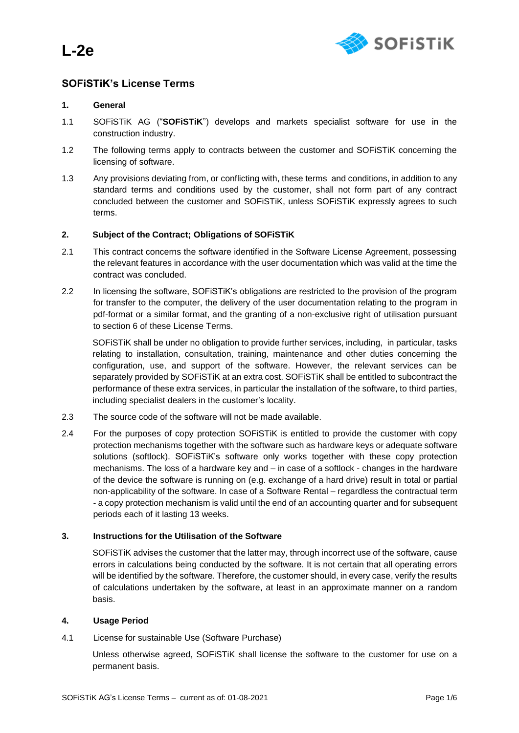**L-2e**



# **SOFiSTiK's License Terms**

# **1. General**

- 1.1 SOFiSTiK AG ("**SOFiSTiK**") develops and markets specialist software for use in the construction industry.
- 1.2 The following terms apply to contracts between the customer and SOFiSTiK concerning the licensing of software.
- 1.3 Any provisions deviating from, or conflicting with, these terms and conditions, in addition to any standard terms and conditions used by the customer, shall not form part of any contract concluded between the customer and SOFiSTiK, unless SOFiSTiK expressly agrees to such terms.

### **2. Subject of the Contract; Obligations of SOFiSTiK**

- 2.1 This contract concerns the software identified in the Software License Agreement, possessing the relevant features in accordance with the user documentation which was valid at the time the contract was concluded.
- 2.2 In licensing the software, SOFiSTiK's obligations are restricted to the provision of the program for transfer to the computer, the delivery of the user documentation relating to the program in pdf-format or a similar format, and the granting of a non-exclusive right of utilisation pursuant to section 6 of these License Terms.

SOFiSTiK shall be under no obligation to provide further services, including, in particular, tasks relating to installation, consultation, training, maintenance and other duties concerning the configuration, use, and support of the software. However, the relevant services can be separately provided by SOFiSTiK at an extra cost. SOFiSTiK shall be entitled to subcontract the performance of these extra services, in particular the installation of the software, to third parties, including specialist dealers in the customer's locality.

- 2.3 The source code of the software will not be made available.
- 2.4 For the purposes of copy protection SOFiSTiK is entitled to provide the customer with copy protection mechanisms together with the software such as hardware keys or adequate software solutions (softlock). SOFiSTiK's software only works together with these copy protection mechanisms. The loss of a hardware key and – in case of a softlock - changes in the hardware of the device the software is running on (e.g. exchange of a hard drive) result in total or partial non-applicability of the software. In case of a Software Rental – regardless the contractual term - a copy protection mechanism is valid until the end of an accounting quarter and for subsequent periods each of it lasting 13 weeks.

### **3. Instructions for the Utilisation of the Software**

SOFiSTiK advises the customer that the latter may, through incorrect use of the software, cause errors in calculations being conducted by the software. It is not certain that all operating errors will be identified by the software. Therefore, the customer should, in every case, verify the results of calculations undertaken by the software, at least in an approximate manner on a random basis.

### **4. Usage Period**

4.1 License for sustainable Use (Software Purchase)

Unless otherwise agreed, SOFiSTiK shall license the software to the customer for use on a permanent basis.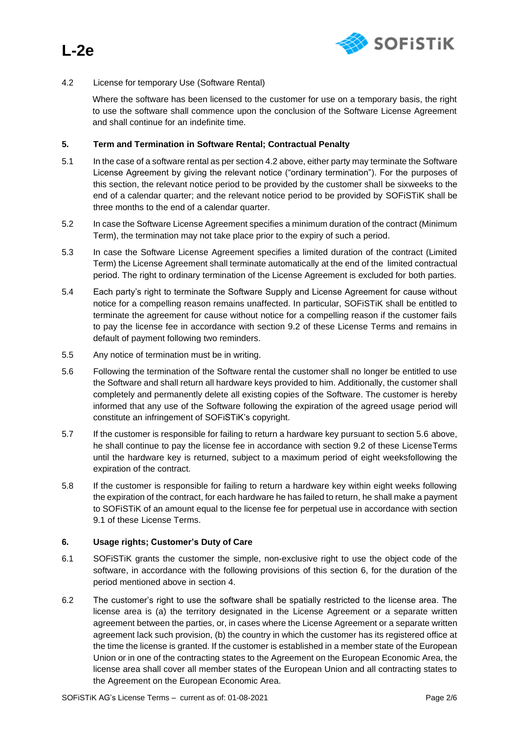

# 4.2 License for temporary Use (Software Rental)

Where the software has been licensed to the customer for use on a temporary basis, the right to use the software shall commence upon the conclusion of the Software License Agreement and shall continue for an indefinite time.

#### **5. Term and Termination in Software Rental; Contractual Penalty**

- 5.1 In the case of a software rental as per section 4.2 above, either party may terminate the Software License Agreement by giving the relevant notice ("ordinary termination"). For the purposes of this section, the relevant notice period to be provided by the customer shall be sixweeks to the end of a calendar quarter; and the relevant notice period to be provided by SOFiSTiK shall be three months to the end of a calendar quarter.
- 5.2 In case the Software License Agreement specifies a minimum duration of the contract (Minimum Term), the termination may not take place prior to the expiry of such a period.
- 5.3 In case the Software License Agreement specifies a limited duration of the contract (Limited Term) the License Agreement shall terminate automatically at the end of the limited contractual period. The right to ordinary termination of the License Agreement is excluded for both parties.
- 5.4 Each party's right to terminate the Software Supply and License Agreement for cause without notice for a compelling reason remains unaffected. In particular, SOFiSTiK shall be entitled to terminate the agreement for cause without notice for a compelling reason if the customer fails to pay the license fee in accordance with section 9.2 of these License Terms and remains in default of payment following two reminders.
- 5.5 Any notice of termination must be in writing.
- 5.6 Following the termination of the Software rental the customer shall no longer be entitled to use the Software and shall return all hardware keys provided to him. Additionally, the customer shall completely and permanently delete all existing copies of the Software. The customer is hereby informed that any use of the Software following the expiration of the agreed usage period will constitute an infringement of SOFiSTiK's copyright.
- 5.7 If the customer is responsible for failing to return a hardware key pursuant to section 5.6 above, he shall continue to pay the license fee in accordance with section 9.2 of these LicenseTerms until the hardware key is returned, subject to a maximum period of eight weeksfollowing the expiration of the contract.
- 5.8 If the customer is responsible for failing to return a hardware key within eight weeks following the expiration of the contract, for each hardware he has failed to return, he shall make a payment to SOFiSTiK of an amount equal to the license fee for perpetual use in accordance with section 9.1 of these License Terms.

### **6. Usage rights; Customer's Duty of Care**

- 6.1 SOFiSTiK grants the customer the simple, non-exclusive right to use the object code of the software, in accordance with the following provisions of this section 6, for the duration of the period mentioned above in section 4.
- 6.2 The customer's right to use the software shall be spatially restricted to the license area. The license area is (a) the territory designated in the License Agreement or a separate written agreement between the parties, or, in cases where the License Agreement or a separate written agreement lack such provision, (b) the country in which the customer has its registered office at the time the license is granted. If the customer is established in a member state of the European Union or in one of the contracting states to the Agreement on the European Economic Area, the license area shall cover all member states of the European Union and all contracting states to the Agreement on the European Economic Area.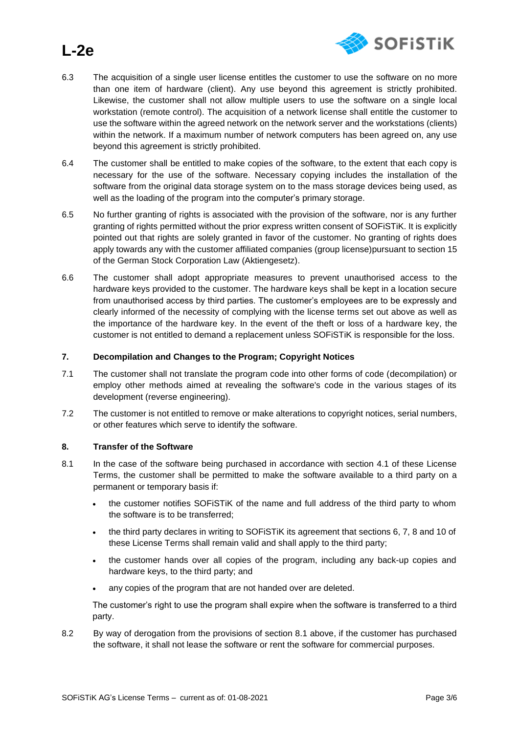

# **L-2e**

- 6.3 The acquisition of a single user license entitles the customer to use the software on no more than one item of hardware (client). Any use beyond this agreement is strictly prohibited. Likewise, the customer shall not allow multiple users to use the software on a single local workstation (remote control). The acquisition of a network license shall entitle the customer to use the software within the agreed network on the network server and the workstations (clients) within the network. If a maximum number of network computers has been agreed on, any use beyond this agreement is strictly prohibited.
- 6.4 The customer shall be entitled to make copies of the software, to the extent that each copy is necessary for the use of the software. Necessary copying includes the installation of the software from the original data storage system on to the mass storage devices being used, as well as the loading of the program into the computer's primary storage.
- 6.5 No further granting of rights is associated with the provision of the software, nor is any further granting of rights permitted without the prior express written consent of SOFiSTiK. It is explicitly pointed out that rights are solely granted in favor of the customer. No granting of rights does apply towards any with the customer affiliated companies (group license)pursuant to section 15 of the German Stock Corporation Law (Aktiengesetz).
- 6.6 The customer shall adopt appropriate measures to prevent unauthorised access to the hardware keys provided to the customer. The hardware keys shall be kept in a location secure from unauthorised access by third parties. The customer's employees are to be expressly and clearly informed of the necessity of complying with the license terms set out above as well as the importance of the hardware key. In the event of the theft or loss of a hardware key, the customer is not entitled to demand a replacement unless SOFiSTiK is responsible for the loss.

### **7. Decompilation and Changes to the Program; Copyright Notices**

- 7.1 The customer shall not translate the program code into other forms of code (decompilation) or employ other methods aimed at revealing the software's code in the various stages of its development (reverse engineering).
- 7.2 The customer is not entitled to remove or make alterations to copyright notices, serial numbers, or other features which serve to identify the software.

### **8. Transfer of the Software**

- 8.1 In the case of the software being purchased in accordance with section 4.1 of these License Terms, the customer shall be permitted to make the software available to a third party on a permanent or temporary basis if:
	- the customer notifies SOFISTIK of the name and full address of the third party to whom the software is to be transferred;
	- the third party declares in writing to SOFiSTiK its agreement that sections 6, 7, 8 and 10 of these License Terms shall remain valid and shall apply to the third party;
	- the customer hands over all copies of the program, including any back-up copies and hardware keys, to the third party; and
	- any copies of the program that are not handed over are deleted.

The customer's right to use the program shall expire when the software is transferred to a third party.

8.2 By way of derogation from the provisions of section 8.1 above, if the customer has purchased the software, it shall not lease the software or rent the software for commercial purposes.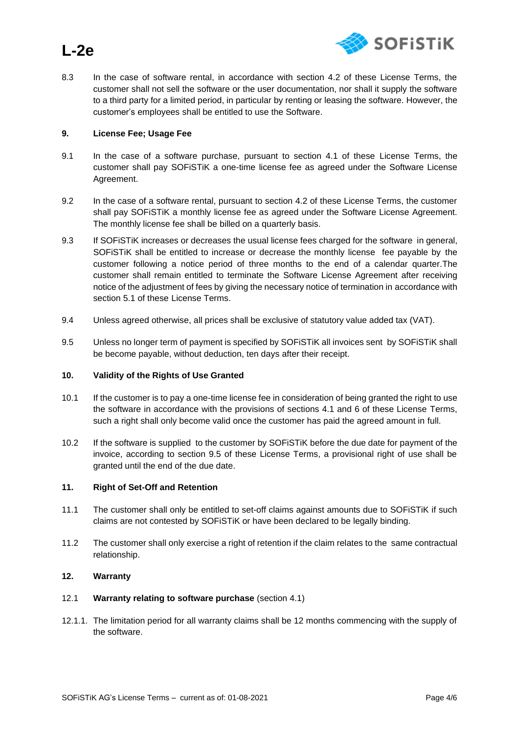

8.3 In the case of software rental, in accordance with section 4.2 of these License Terms, the customer shall not sell the software or the user documentation, nor shall it supply the software to a third party for a limited period, in particular by renting or leasing the software. However, the customer's employees shall be entitled to use the Software.

#### **9. License Fee; Usage Fee**

**L-2e**

- 9.1 In the case of a software purchase, pursuant to section 4.1 of these License Terms, the customer shall pay SOFiSTiK a one-time license fee as agreed under the Software License Agreement.
- 9.2 In the case of a software rental, pursuant to section 4.2 of these License Terms, the customer shall pay SOFiSTiK a monthly license fee as agreed under the Software License Agreement. The monthly license fee shall be billed on a quarterly basis.
- 9.3 If SOFiSTiK increases or decreases the usual license fees charged for the software in general, SOFiSTiK shall be entitled to increase or decrease the monthly license fee payable by the customer following a notice period of three months to the end of a calendar quarter.The customer shall remain entitled to terminate the Software License Agreement after receiving notice of the adjustment of fees by giving the necessary notice of termination in accordance with section 5.1 of these License Terms.
- 9.4 Unless agreed otherwise, all prices shall be exclusive of statutory value added tax (VAT).
- 9.5 Unless no longer term of payment is specified by SOFiSTiK all invoices sent by SOFiSTiK shall be become payable, without deduction, ten days after their receipt.

### **10. Validity of the Rights of Use Granted**

- 10.1 If the customer is to pay a one-time license fee in consideration of being granted the right to use the software in accordance with the provisions of sections 4.1 and 6 of these License Terms, such a right shall only become valid once the customer has paid the agreed amount in full.
- 10.2 If the software is supplied to the customer by SOFiSTiK before the due date for payment of the invoice, according to section 9.5 of these License Terms, a provisional right of use shall be granted until the end of the due date.

#### **11. Right of Set-Off and Retention**

- 11.1 The customer shall only be entitled to set-off claims against amounts due to SOFiSTiK if such claims are not contested by SOFiSTiK or have been declared to be legally binding.
- 11.2 The customer shall only exercise a right of retention if the claim relates to the same contractual relationship.

#### **12. Warranty**

- 12.1 **Warranty relating to software purchase** (section 4.1)
- 12.1.1. The limitation period for all warranty claims shall be 12 months commencing with the supply of the software.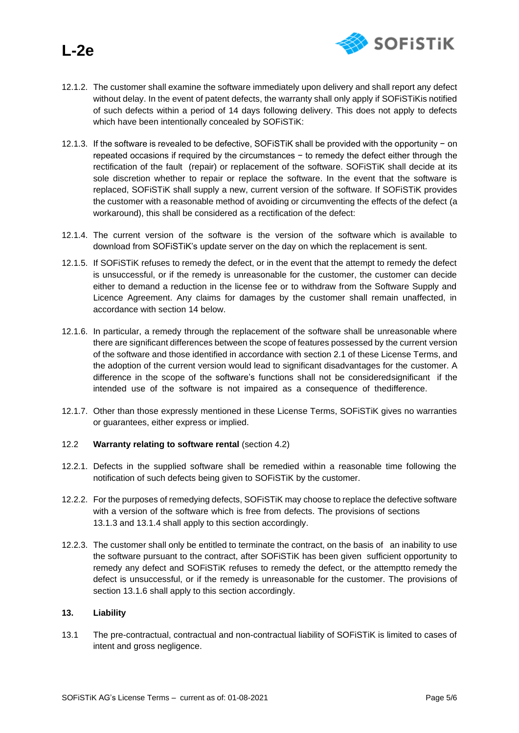

- 12.1.2. The customer shall examine the software immediately upon delivery and shall report any defect without delay. In the event of patent defects, the warranty shall only apply if SOFiSTiKis notified of such defects within a period of 14 days following delivery. This does not apply to defects which have been intentionally concealed by SOFiSTiK:
- 12.1.3. If the software is revealed to be defective, SOFiSTiK shall be provided with the opportunity − on repeated occasions if required by the circumstances − to remedy the defect either through the rectification of the fault (repair) or replacement of the software. SOFiSTiK shall decide at its sole discretion whether to repair or replace the software. In the event that the software is replaced, SOFiSTiK shall supply a new, current version of the software. If SOFiSTiK provides the customer with a reasonable method of avoiding or circumventing the effects of the defect (a workaround), this shall be considered as a rectification of the defect:
- 12.1.4. The current version of the software is the version of the software which is available to download from SOFiSTiK's update server on the day on which the replacement is sent.
- 12.1.5. If SOFiSTiK refuses to remedy the defect, or in the event that the attempt to remedy the defect is unsuccessful, or if the remedy is unreasonable for the customer, the customer can decide either to demand a reduction in the license fee or to withdraw from the Software Supply and Licence Agreement. Any claims for damages by the customer shall remain unaffected, in accordance with section 14 below.
- 12.1.6. In particular, a remedy through the replacement of the software shall be unreasonable where there are significant differences between the scope of features possessed by the current version of the software and those identified in accordance with section 2.1 of these License Terms, and the adoption of the current version would lead to significant disadvantages for the customer. A difference in the scope of the software's functions shall not be consideredsignificant if the intended use of the software is not impaired as a consequence of thedifference.
- 12.1.7. Other than those expressly mentioned in these License Terms, SOFiSTiK gives no warranties or guarantees, either express or implied.
- 12.2 **Warranty relating to software rental** (section 4.2)
- 12.2.1. Defects in the supplied software shall be remedied within a reasonable time following the notification of such defects being given to SOFiSTiK by the customer.
- 12.2.2. For the purposes of remedying defects, SOFiSTiK may choose to replace the defective software with a version of the software which is free from defects. The provisions of sections 13.1.3 and 13.1.4 shall apply to this section accordingly.
- 12.2.3. The customer shall only be entitled to terminate the contract, on the basis of an inability to use the software pursuant to the contract, after SOFiSTiK has been given sufficient opportunity to remedy any defect and SOFiSTiK refuses to remedy the defect, or the attemptto remedy the defect is unsuccessful, or if the remedy is unreasonable for the customer. The provisions of section 13.1.6 shall apply to this section accordingly.

### **13. Liability**

13.1 The pre-contractual, contractual and non-contractual liability of SOFiSTiK is limited to cases of intent and gross negligence.